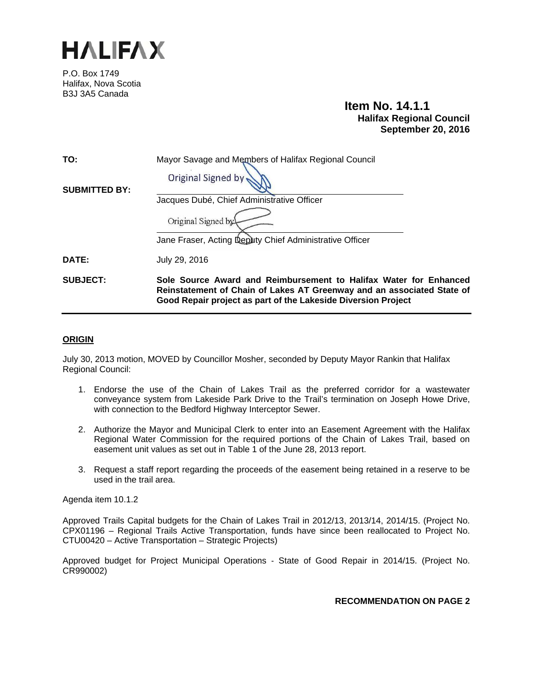

P.O. Box 1749 Halifax, Nova Scotia B3J 3A5 Canada

# **Item No. 14.1.1 Halifax Regional Council September 20, 2016**

| TO:                  | Mayor Savage and Members of Halifax Regional Council                                                                                                                                                         |
|----------------------|--------------------------------------------------------------------------------------------------------------------------------------------------------------------------------------------------------------|
|                      | <b>Original Signed by</b>                                                                                                                                                                                    |
| <b>SUBMITTED BY:</b> |                                                                                                                                                                                                              |
|                      | Jacques Dubé, Chief Administrative Officer                                                                                                                                                                   |
|                      | Original Signed by                                                                                                                                                                                           |
|                      | Jane Fraser, Acting Deputy Chief Administrative Officer                                                                                                                                                      |
| DATE:                | July 29, 2016                                                                                                                                                                                                |
| <b>SUBJECT:</b>      | Sole Source Award and Reimbursement to Halifax Water for Enhanced<br>Reinstatement of Chain of Lakes AT Greenway and an associated State of<br>Good Repair project as part of the Lakeside Diversion Project |

#### **ORIGIN**

July 30, 2013 motion, MOVED by Councillor Mosher, seconded by Deputy Mayor Rankin that Halifax Regional Council:

- 1. Endorse the use of the Chain of Lakes Trail as the preferred corridor for a wastewater conveyance system from Lakeside Park Drive to the Trail's termination on Joseph Howe Drive, with connection to the Bedford Highway Interceptor Sewer.
- 2. Authorize the Mayor and Municipal Clerk to enter into an Easement Agreement with the Halifax Regional Water Commission for the required portions of the Chain of Lakes Trail, based on easement unit values as set out in Table 1 of the June 28, 2013 report.
- 3. Request a staff report regarding the proceeds of the easement being retained in a reserve to be used in the trail area.

Agenda item 10.1.2

Approved Trails Capital budgets for the Chain of Lakes Trail in 2012/13, 2013/14, 2014/15. (Project No. CPX01196 – Regional Trails Active Transportation, funds have since been reallocated to Project No. CTU00420 – Active Transportation – Strategic Projects)

Approved budget for Project Municipal Operations ‐ State of Good Repair in 2014/15. (Project No. CR990002)

**RECOMMENDATION ON PAGE 2**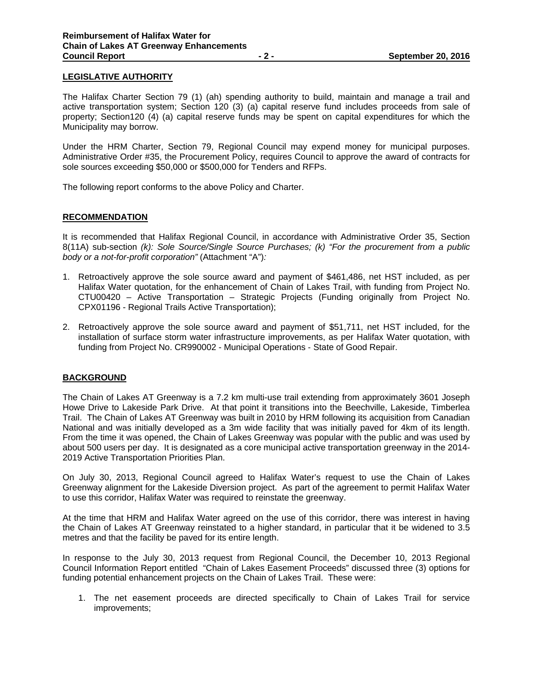# **LEGISLATIVE AUTHORITY**

The Halifax Charter Section 79 (1) (ah) spending authority to build, maintain and manage a trail and active transportation system; Section 120 (3) (a) capital reserve fund includes proceeds from sale of property; Section120 (4) (a) capital reserve funds may be spent on capital expenditures for which the Municipality may borrow.

Under the HRM Charter, Section 79, Regional Council may expend money for municipal purposes. Administrative Order #35, the Procurement Policy, requires Council to approve the award of contracts for sole sources exceeding \$50,000 or \$500,000 for Tenders and RFPs.

The following report conforms to the above Policy and Charter.

# **RECOMMENDATION**

It is recommended that Halifax Regional Council, in accordance with Administrative Order 35, Section 8(11A) sub-section *(k): Sole Source/Single Source Purchases; (k) "For the procurement from a public body or a not-for-profit corporation"* (Attachment "A")*:*

- 1. Retroactively approve the sole source award and payment of \$461,486, net HST included, as per Halifax Water quotation, for the enhancement of Chain of Lakes Trail, with funding from Project No. CTU00420 – Active Transportation – Strategic Projects (Funding originally from Project No. CPX01196 - Regional Trails Active Transportation);
- 2. Retroactively approve the sole source award and payment of \$51,711, net HST included, for the installation of surface storm water infrastructure improvements, as per Halifax Water quotation, with funding from Project No. CR990002 - Municipal Operations ‐ State of Good Repair.

# **BACKGROUND**

The Chain of Lakes AT Greenway is a 7.2 km multi-use trail extending from approximately 3601 Joseph Howe Drive to Lakeside Park Drive. At that point it transitions into the Beechville, Lakeside, Timberlea Trail. The Chain of Lakes AT Greenway was built in 2010 by HRM following its acquisition from Canadian National and was initially developed as a 3m wide facility that was initially paved for 4km of its length. From the time it was opened, the Chain of Lakes Greenway was popular with the public and was used by about 500 users per day. It is designated as a core municipal active transportation greenway in the 2014- 2019 Active Transportation Priorities Plan.

On July 30, 2013, Regional Council agreed to Halifax Water's request to use the Chain of Lakes Greenway alignment for the Lakeside Diversion project. As part of the agreement to permit Halifax Water to use this corridor, Halifax Water was required to reinstate the greenway.

At the time that HRM and Halifax Water agreed on the use of this corridor, there was interest in having the Chain of Lakes AT Greenway reinstated to a higher standard, in particular that it be widened to 3.5 metres and that the facility be paved for its entire length.

In response to the July 30, 2013 request from Regional Council, the December 10, 2013 Regional Council Information Report entitled "Chain of Lakes Easement Proceeds" discussed three (3) options for funding potential enhancement projects on the Chain of Lakes Trail. These were:

1. The net easement proceeds are directed specifically to Chain of Lakes Trail for service improvements;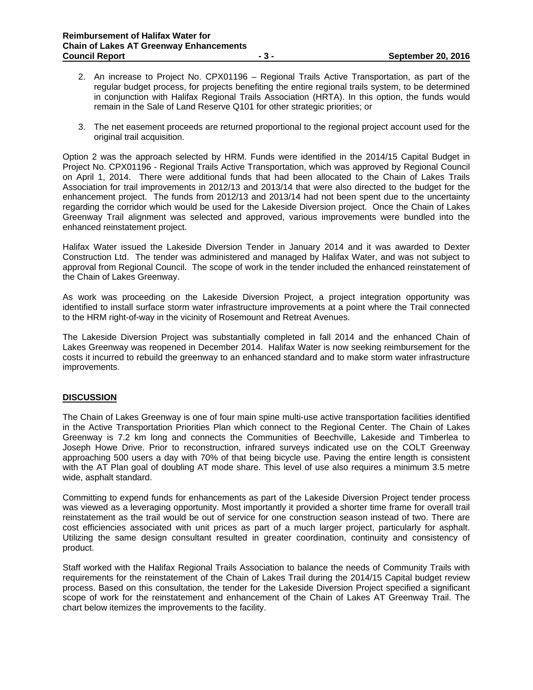- 2. An increase to Project No. CPX01196 Regional Trails Active Transportation, as part of the regular budget process, for projects benefiting the entire regional trails system, to be determined in conjunction with Halifax Regional Trails Association (HRTA). In this option, the funds would remain in the Sale of Land Reserve Q101 for other strategic priorities; or
- 3. The net easement proceeds are returned proportional to the regional project account used for the original trail acquisition.

Option 2 was the approach selected by HRM. Funds were identified in the 2014/15 Capital Budget in Project No. CPX01196 - Regional Trails Active Transportation, which was approved by Regional Council on April 1, 2014. There were additional funds that had been allocated to the Chain of Lakes Trails Association for trail improvements in 2012/13 and 2013/14 that were also directed to the budget for the enhancement project. The funds from 2012/13 and 2013/14 had not been spent due to the uncertainty regarding the corridor which would be used for the Lakeside Diversion project. Once the Chain of Lakes Greenway Trail alignment was selected and approved, various improvements were bundled into the enhanced reinstatement project.

Halifax Water issued the Lakeside Diversion Tender in January 2014 and it was awarded to Dexter Construction Ltd. The tender was administered and managed by Halifax Water, and was not subject to approval from Regional Council. The scope of work in the tender included the enhanced reinstatement of the Chain of Lakes Greenway.

As work was proceeding on the Lakeside Diversion Project, a project integration opportunity was identified to install surface storm water infrastructure improvements at a point where the Trail connected to the HRM right-of-way in the vicinity of Rosemount and Retreat Avenues.

The Lakeside Diversion Project was substantially completed in fall 2014 and the enhanced Chain of Lakes Greenway was reopened in December 2014. Halifax Water is now seeking reimbursement for the costs it incurred to rebuild the greenway to an enhanced standard and to make storm water infrastructure improvements.

# **DISCUSSION**

The Chain of Lakes Greenway is one of four main spine multi-use active transportation facilities identified in the Active Transportation Priorities Plan which connect to the Regional Center. The Chain of Lakes Greenway is 7.2 km long and connects the Communities of Beechville, Lakeside and Timberlea to Joseph Howe Drive. Prior to reconstruction, infrared surveys indicated use on the COLT Greenway approaching 500 users a day with 70% of that being bicycle use. Paving the entire length is consistent with the AT Plan goal of doubling AT mode share. This level of use also requires a minimum 3.5 metre wide, asphalt standard.

Committing to expend funds for enhancements as part of the Lakeside Diversion Project tender process was viewed as a leveraging opportunity. Most importantly it provided a shorter time frame for overall trail reinstatement as the trail would be out of service for one construction season instead of two. There are cost efficiencies associated with unit prices as part of a much larger project, particularly for asphalt. Utilizing the same design consultant resulted in greater coordination, continuity and consistency of product.

Staff worked with the Halifax Regional Trails Association to balance the needs of Community Trails with requirements for the reinstatement of the Chain of Lakes Trail during the 2014/15 Capital budget review process. Based on this consultation, the tender for the Lakeside Diversion Project specified a significant scope of work for the reinstatement and enhancement of the Chain of Lakes AT Greenway Trail. The chart below itemizes the improvements to the facility.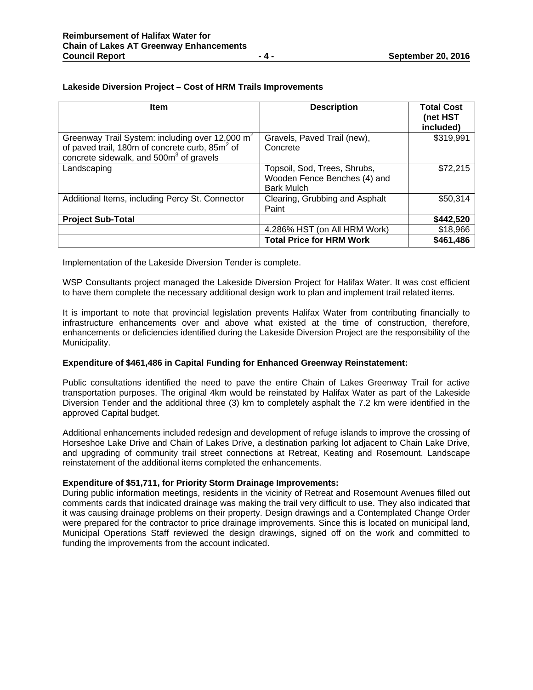# **Lakeside Diversion Project – Cost of HRM Trails Improvements**

| <b>Item</b>                                                                                                                                                                      | <b>Description</b>                                                                | <b>Total Cost</b><br>(net HST<br>included) |
|----------------------------------------------------------------------------------------------------------------------------------------------------------------------------------|-----------------------------------------------------------------------------------|--------------------------------------------|
| Greenway Trail System: including over 12,000 m <sup>2</sup><br>of paved trail, 180m of concrete curb, 85m <sup>2</sup> of<br>concrete sidewalk, and 500m <sup>3</sup> of gravels | Gravels, Paved Trail (new),<br>Concrete                                           | \$319,991                                  |
| Landscaping                                                                                                                                                                      | Topsoil, Sod, Trees, Shrubs,<br>Wooden Fence Benches (4) and<br><b>Bark Mulch</b> | \$72,215                                   |
| Additional Items, including Percy St. Connector                                                                                                                                  | Clearing, Grubbing and Asphalt<br>Paint                                           | \$50,314                                   |
| <b>Project Sub-Total</b>                                                                                                                                                         |                                                                                   | \$442,520                                  |
|                                                                                                                                                                                  | 4.286% HST (on All HRM Work)                                                      | \$18,966                                   |
|                                                                                                                                                                                  | <b>Total Price for HRM Work</b>                                                   | \$461,486                                  |

Implementation of the Lakeside Diversion Tender is complete.

WSP Consultants project managed the Lakeside Diversion Project for Halifax Water. It was cost efficient to have them complete the necessary additional design work to plan and implement trail related items.

It is important to note that provincial legislation prevents Halifax Water from contributing financially to infrastructure enhancements over and above what existed at the time of construction, therefore, enhancements or deficiencies identified during the Lakeside Diversion Project are the responsibility of the Municipality.

#### **Expenditure of \$461,486 in Capital Funding for Enhanced Greenway Reinstatement:**

Public consultations identified the need to pave the entire Chain of Lakes Greenway Trail for active transportation purposes. The original 4km would be reinstated by Halifax Water as part of the Lakeside Diversion Tender and the additional three (3) km to completely asphalt the 7.2 km were identified in the approved Capital budget.

Additional enhancements included redesign and development of refuge islands to improve the crossing of Horseshoe Lake Drive and Chain of Lakes Drive, a destination parking lot adjacent to Chain Lake Drive, and upgrading of community trail street connections at Retreat, Keating and Rosemount. Landscape reinstatement of the additional items completed the enhancements.

#### **Expenditure of \$51,711, for Priority Storm Drainage Improvements:**

During public information meetings, residents in the vicinity of Retreat and Rosemount Avenues filled out comments cards that indicated drainage was making the trail very difficult to use. They also indicated that it was causing drainage problems on their property. Design drawings and a Contemplated Change Order were prepared for the contractor to price drainage improvements. Since this is located on municipal land, Municipal Operations Staff reviewed the design drawings, signed off on the work and committed to funding the improvements from the account indicated.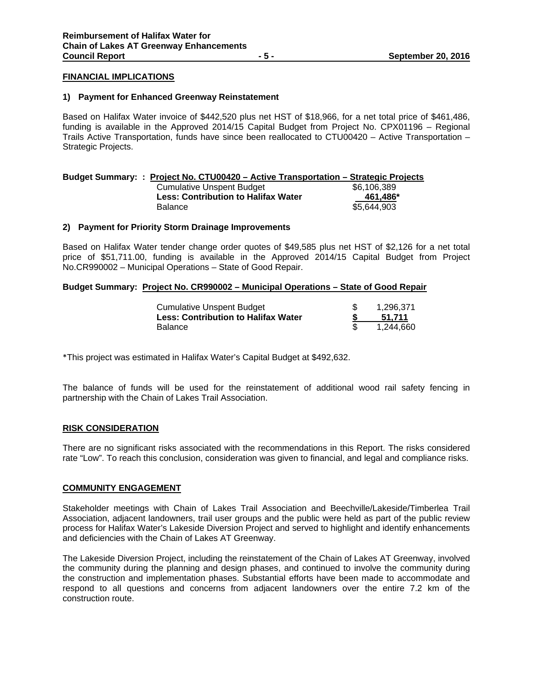# **FINANCIAL IMPLICATIONS**

#### **1) Payment for Enhanced Greenway Reinstatement**

Based on Halifax Water invoice of \$442,520 plus net HST of \$18,966, for a net total price of \$461,486, funding is available in the Approved 2014/15 Capital Budget from Project No. CPX01196 – Regional Trails Active Transportation, funds have since been reallocated to CTU00420 – Active Transportation – Strategic Projects.

| Budget Summary: : Project No. CTU00420 - Active Transportation - Strategic Projects |             |
|-------------------------------------------------------------------------------------|-------------|
| Cumulative Unspent Budget                                                           | \$6.106.389 |
| <b>Less: Contribution to Halifax Water</b>                                          | 461.486*    |
| <b>Balance</b>                                                                      | \$5.644.903 |

#### **2) Payment for Priority Storm Drainage Improvements**

Based on Halifax Water tender change order quotes of \$49,585 plus net HST of \$2,126 for a net total price of \$51,711.00, funding is available in the Approved 2014/15 Capital Budget from Project No.CR990002 – Municipal Operations – State of Good Repair.

#### **Budget Summary: Project No. CR990002 – Municipal Operations – State of Good Repair**

| Cumulative Unspent Budget                  | 1.296.371 |
|--------------------------------------------|-----------|
| <b>Less: Contribution to Halifax Water</b> | 51.711    |
| Balance                                    | 1.244.660 |

\*This project was estimated in Halifax Water's Capital Budget at \$492,632.

The balance of funds will be used for the reinstatement of additional wood rail safety fencing in partnership with the Chain of Lakes Trail Association.

#### **RISK CONSIDERATION**

There are no significant risks associated with the recommendations in this Report. The risks considered rate "Low". To reach this conclusion, consideration was given to financial, and legal and compliance risks.

# **COMMUNITY ENGAGEMENT**

Stakeholder meetings with Chain of Lakes Trail Association and Beechville/Lakeside/Timberlea Trail Association, adjacent landowners, trail user groups and the public were held as part of the public review process for Halifax Water's Lakeside Diversion Project and served to highlight and identify enhancements and deficiencies with the Chain of Lakes AT Greenway.

The Lakeside Diversion Project, including the reinstatement of the Chain of Lakes AT Greenway, involved the community during the planning and design phases, and continued to involve the community during the construction and implementation phases. Substantial efforts have been made to accommodate and respond to all questions and concerns from adjacent landowners over the entire 7.2 km of the construction route.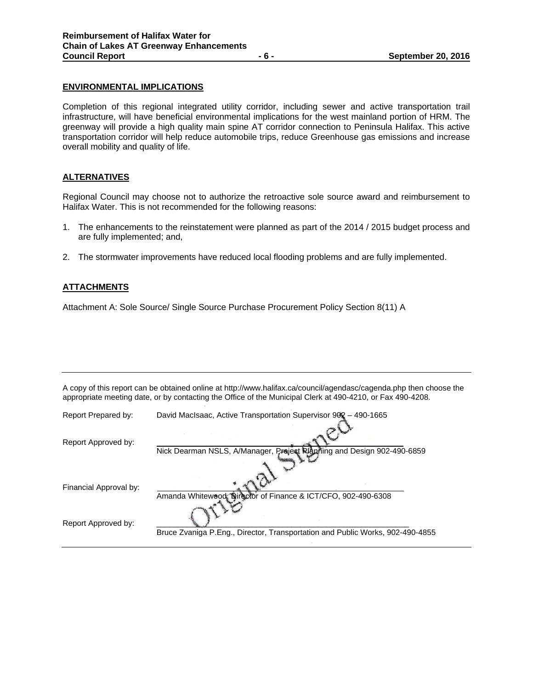#### **ENVIRONMENTAL IMPLICATIONS**

Completion of this regional integrated utility corridor, including sewer and active transportation trail infrastructure, will have beneficial environmental implications for the west mainland portion of HRM. The greenway will provide a high quality main spine AT corridor connection to Peninsula Halifax. This active transportation corridor will help reduce automobile trips, reduce Greenhouse gas emissions and increase overall mobility and quality of life.

# **ALTERNATIVES**

Regional Council may choose not to authorize the retroactive sole source award and reimbursement to Halifax Water. This is not recommended for the following reasons:

- 1. The enhancements to the reinstatement were planned as part of the 2014 / 2015 budget process and are fully implemented; and,
- 2. The stormwater improvements have reduced local flooding problems and are fully implemented.

# **ATTACHMENTS**

Attachment A: Sole Source/ Single Source Purchase Procurement Policy Section 8(11) A

|                        | A copy of this report can be obtained online at http://www.halifax.ca/council/agendasc/cagenda.php then choose the<br>appropriate meeting date, or by contacting the Office of the Municipal Clerk at 490-4210, or Fax 490-4208. |
|------------------------|----------------------------------------------------------------------------------------------------------------------------------------------------------------------------------------------------------------------------------|
| Report Prepared by:    | David MacIsaac, Active Transportation Supervisor 902 - 490-1665                                                                                                                                                                  |
| Report Approved by:    |                                                                                                                                                                                                                                  |
|                        | Nick Dearman NSLS, A/Manager, Project Planning and Design 902-490-6859                                                                                                                                                           |
| Financial Approval by: | Amanda Whitewood, Director of Finance & ICT/CFO, 902-490-6308                                                                                                                                                                    |
| Report Approved by:    | Bruce Zvaniga P.Eng., Director, Transportation and Public Works, 902-490-4855                                                                                                                                                    |